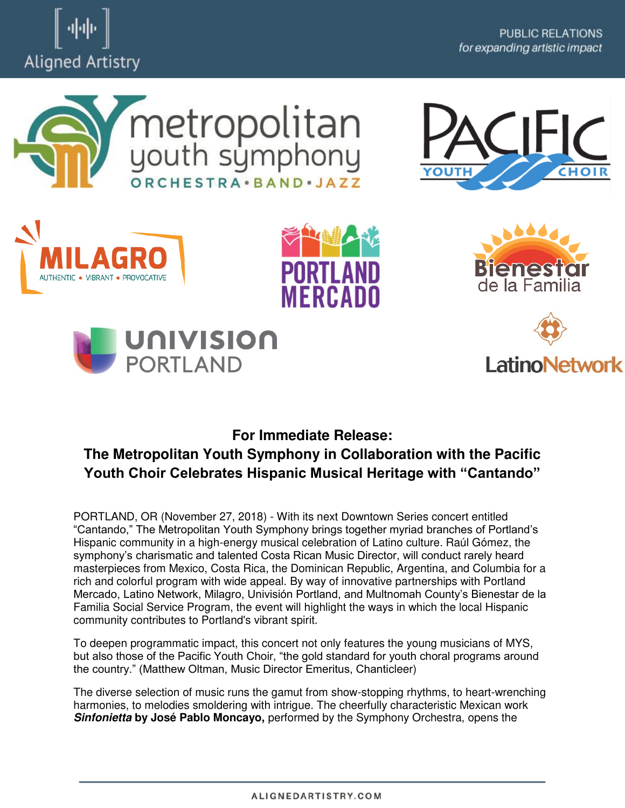















# **For Immediate Release: The Metropolitan Youth Symphony in Collaboration with the Pacific Youth Choir Celebrates Hispanic Musical Heritage with "Cantando"**

PORTLAND, OR (November 27, 2018) - With its next Downtown Series concert entitled "Cantando," The Metropolitan Youth Symphony brings together myriad branches of Portland's Hispanic community in a high-energy musical celebration of Latino culture. Raúl Gómez, the symphony's charismatic and talented Costa Rican Music Director, will conduct rarely heard masterpieces from Mexico, Costa Rica, the Dominican Republic, Argentina, and Columbia for a rich and colorful program with wide appeal. By way of innovative partnerships with Portland Mercado, Latino Network, Milagro, Univisión Portland, and Multnomah County's Bienestar de la Familia Social Service Program, the event will highlight the ways in which the local Hispanic community contributes to Portland's vibrant spirit.

To deepen programmatic impact, this concert not only features the young musicians of MYS, but also those of the Pacific Youth Choir, "the gold standard for youth choral programs around the country." (Matthew Oltman, Music Director Emeritus, Chanticleer)

The diverse selection of music runs the gamut from show-stopping rhythms, to heart-wrenching harmonies, to melodies smoldering with intrigue. The cheerfully characteristic Mexican work *Sinfonietta* **by José Pablo Moncayo,** performed by the Symphony Orchestra, opens the